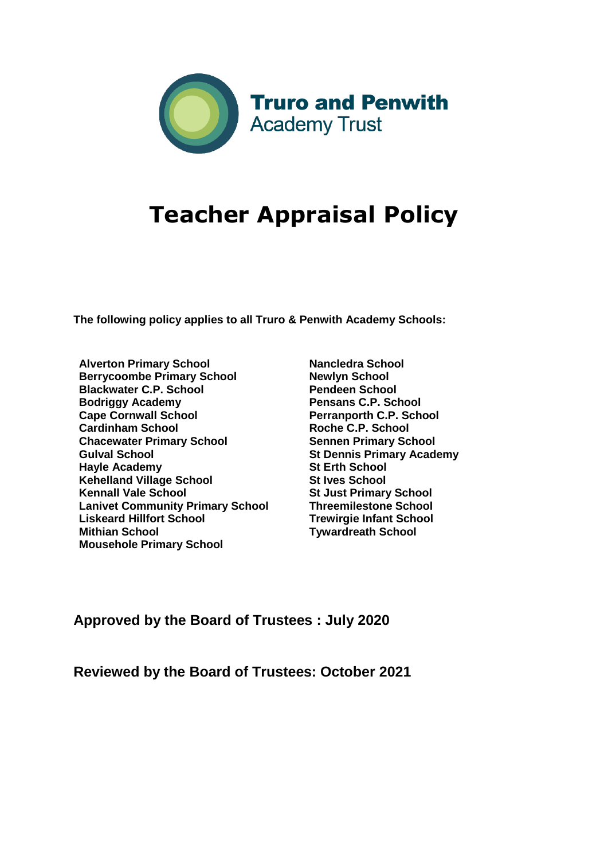

# **Teacher Appraisal Policy**

**The following policy applies to all Truro & Penwith Academy Schools:** 

- **Alverton Primary School Berrycoombe Primary School Blackwater C.P. School Bodriggy Academy Cape Cornwall School Cardinham School Chacewater Primary School Gulval School Hayle Academy Kehelland Village School Kennall Vale School Lanivet Community Primary School Liskeard Hillfort School Mithian School Mousehole Primary School**
- **Nancledra School Newlyn School Pendeen School Pensans C.P. School Perranporth C.P. School Roche C.P. School Sennen Primary School St Dennis Primary Academy St Erth School St Ives School St Just Primary School Threemilestone School Trewirgie Infant School Tywardreath School**

## **Approved by the Board of Trustees : July 2020**

**Reviewed by the Board of Trustees: October 2021**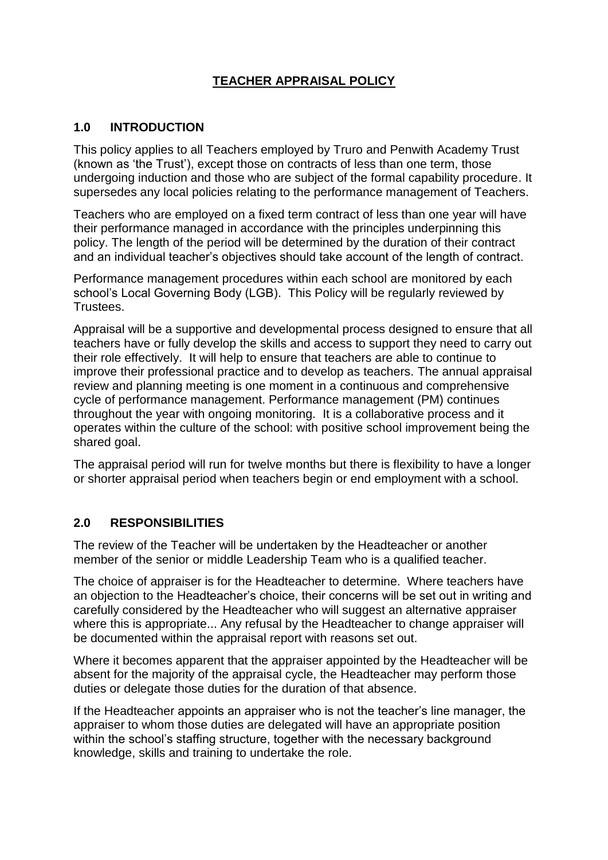## **TEACHER APPRAISAL POLICY**

## **1.0 INTRODUCTION**

This policy applies to all Teachers employed by Truro and Penwith Academy Trust (known as 'the Trust'), except those on contracts of less than one term, those undergoing induction and those who are subject of the formal capability procedure. It supersedes any local policies relating to the performance management of Teachers.

Teachers who are employed on a fixed term contract of less than one year will have their performance managed in accordance with the principles underpinning this policy. The length of the period will be determined by the duration of their contract and an individual teacher's objectives should take account of the length of contract.

Performance management procedures within each school are monitored by each school's Local Governing Body (LGB). This Policy will be regularly reviewed by Trustees.

Appraisal will be a supportive and developmental process designed to ensure that all teachers have or fully develop the skills and access to support they need to carry out their role effectively. It will help to ensure that teachers are able to continue to improve their professional practice and to develop as teachers. The annual appraisal review and planning meeting is one moment in a continuous and comprehensive cycle of performance management. Performance management (PM) continues throughout the year with ongoing monitoring. It is a collaborative process and it operates within the culture of the school: with positive school improvement being the shared goal.

The appraisal period will run for twelve months but there is flexibility to have a longer or shorter appraisal period when teachers begin or end employment with a school.

#### **2.0 RESPONSIBILITIES**

The review of the Teacher will be undertaken by the Headteacher or another member of the senior or middle Leadership Team who is a qualified teacher.

The choice of appraiser is for the Headteacher to determine. Where teachers have an objection to the Headteacher's choice, their concerns will be set out in writing and carefully considered by the Headteacher who will suggest an alternative appraiser where this is appropriate... Any refusal by the Headteacher to change appraiser will be documented within the appraisal report with reasons set out.

Where it becomes apparent that the appraiser appointed by the Headteacher will be absent for the majority of the appraisal cycle, the Headteacher may perform those duties or delegate those duties for the duration of that absence.

If the Headteacher appoints an appraiser who is not the teacher's line manager, the appraiser to whom those duties are delegated will have an appropriate position within the school's staffing structure, together with the necessary background knowledge, skills and training to undertake the role.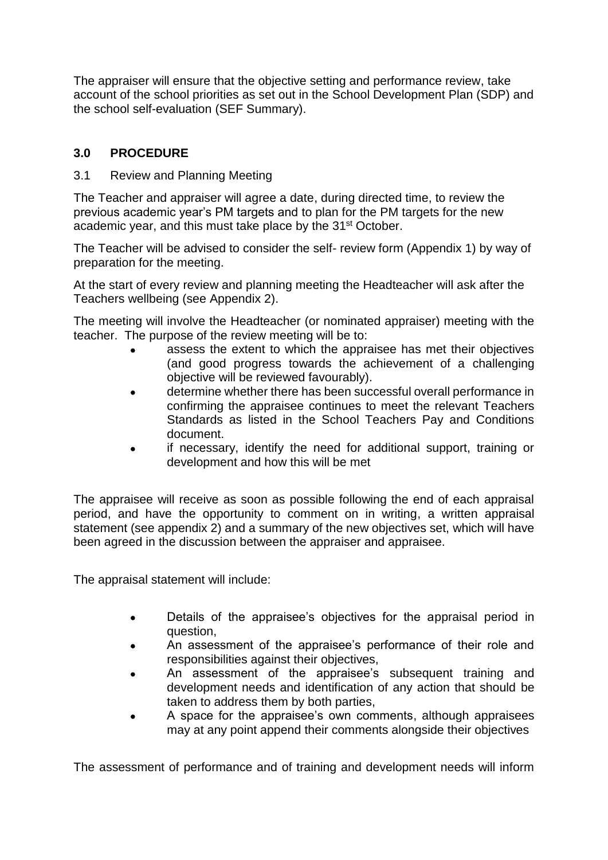The appraiser will ensure that the objective setting and performance review, take account of the school priorities as set out in the School Development Plan (SDP) and the school self-evaluation (SEF Summary).

## **3.0 PROCEDURE**

## 3.1 Review and Planning Meeting

The Teacher and appraiser will agree a date, during directed time, to review the previous academic year's PM targets and to plan for the PM targets for the new academic year, and this must take place by the 31<sup>st</sup> October.

The Teacher will be advised to consider the self- review form (Appendix 1) by way of preparation for the meeting.

At the start of every review and planning meeting the Headteacher will ask after the Teachers wellbeing (see Appendix 2).

The meeting will involve the Headteacher (or nominated appraiser) meeting with the teacher. The purpose of the review meeting will be to:

- assess the extent to which the appraisee has met their objectives (and good progress towards the achievement of a challenging objective will be reviewed favourably).
- determine whether there has been successful overall performance in confirming the appraisee continues to meet the relevant Teachers Standards as listed in the School Teachers Pay and Conditions document.
- if necessary, identify the need for additional support, training or development and how this will be met

The appraisee will receive as soon as possible following the end of each appraisal period, and have the opportunity to comment on in writing, a written appraisal statement (see appendix 2) and a summary of the new objectives set, which will have been agreed in the discussion between the appraiser and appraisee.

The appraisal statement will include:

- Details of the appraisee's objectives for the appraisal period in question,
- An assessment of the appraisee's performance of their role and responsibilities against their objectives,
- An assessment of the appraisee's subsequent training and development needs and identification of any action that should be taken to address them by both parties,
- A space for the appraisee's own comments, although appraisees may at any point append their comments alongside their objectives

The assessment of performance and of training and development needs will inform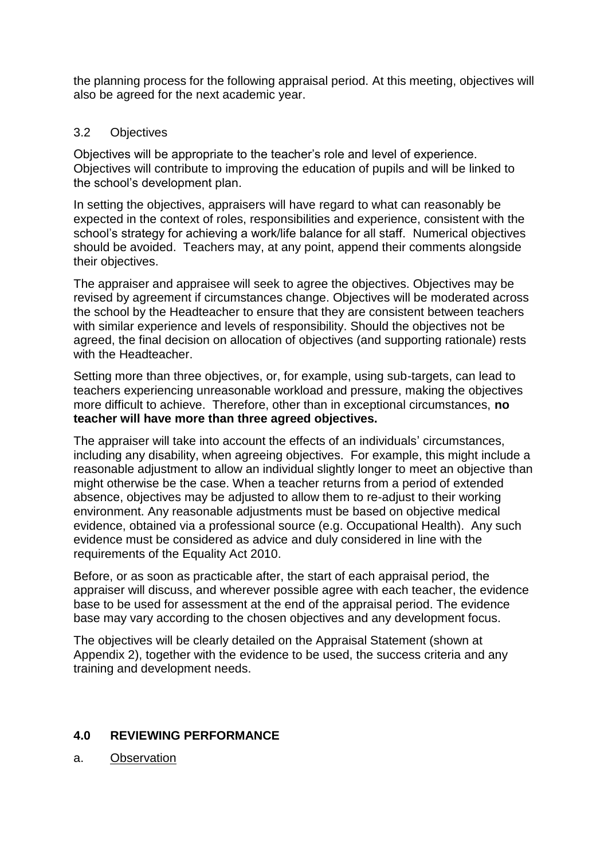the planning process for the following appraisal period. At this meeting, objectives will also be agreed for the next academic year.

### 3.2 Objectives

Objectives will be appropriate to the teacher's role and level of experience. Objectives will contribute to improving the education of pupils and will be linked to the school's development plan.

In setting the objectives, appraisers will have regard to what can reasonably be expected in the context of roles, responsibilities and experience, consistent with the school's strategy for achieving a work/life balance for all staff. Numerical objectives should be avoided. Teachers may, at any point, append their comments alongside their objectives.

The appraiser and appraisee will seek to agree the objectives. Objectives may be revised by agreement if circumstances change. Objectives will be moderated across the school by the Headteacher to ensure that they are consistent between teachers with similar experience and levels of responsibility. Should the objectives not be agreed, the final decision on allocation of objectives (and supporting rationale) rests with the Headteacher.

Setting more than three objectives, or, for example, using sub-targets, can lead to teachers experiencing unreasonable workload and pressure, making the objectives more difficult to achieve. Therefore, other than in exceptional circumstances, **no teacher will have more than three agreed objectives.**

The appraiser will take into account the effects of an individuals' circumstances, including any disability, when agreeing objectives. For example, this might include a reasonable adjustment to allow an individual slightly longer to meet an objective than might otherwise be the case. When a teacher returns from a period of extended absence, objectives may be adjusted to allow them to re-adjust to their working environment. Any reasonable adjustments must be based on objective medical evidence, obtained via a professional source (e.g. Occupational Health). Any such evidence must be considered as advice and duly considered in line with the requirements of the Equality Act 2010.

Before, or as soon as practicable after, the start of each appraisal period, the appraiser will discuss, and wherever possible agree with each teacher, the evidence base to be used for assessment at the end of the appraisal period. The evidence base may vary according to the chosen objectives and any development focus.

The objectives will be clearly detailed on the Appraisal Statement (shown at Appendix 2), together with the evidence to be used, the success criteria and any training and development needs.

#### **4.0 REVIEWING PERFORMANCE**

a. Observation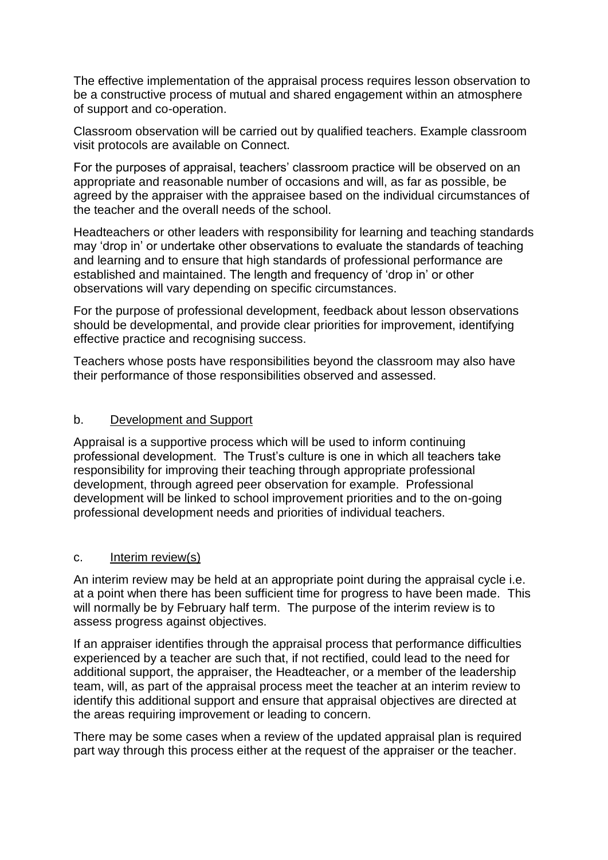The effective implementation of the appraisal process requires lesson observation to be a constructive process of mutual and shared engagement within an atmosphere of support and co-operation.

Classroom observation will be carried out by qualified teachers. Example classroom visit protocols are available on Connect.

For the purposes of appraisal, teachers' classroom practice will be observed on an appropriate and reasonable number of occasions and will, as far as possible, be agreed by the appraiser with the appraisee based on the individual circumstances of the teacher and the overall needs of the school.

Headteachers or other leaders with responsibility for learning and teaching standards may 'drop in' or undertake other observations to evaluate the standards of teaching and learning and to ensure that high standards of professional performance are established and maintained. The length and frequency of 'drop in' or other observations will vary depending on specific circumstances.

For the purpose of professional development, feedback about lesson observations should be developmental, and provide clear priorities for improvement, identifying effective practice and recognising success.

Teachers whose posts have responsibilities beyond the classroom may also have their performance of those responsibilities observed and assessed.

#### b. Development and Support

Appraisal is a supportive process which will be used to inform continuing professional development. The Trust's culture is one in which all teachers take responsibility for improving their teaching through appropriate professional development, through agreed peer observation for example. Professional development will be linked to school improvement priorities and to the on-going professional development needs and priorities of individual teachers.

#### c. Interim review(s)

An interim review may be held at an appropriate point during the appraisal cycle i.e. at a point when there has been sufficient time for progress to have been made. This will normally be by February half term. The purpose of the interim review is to assess progress against objectives.

If an appraiser identifies through the appraisal process that performance difficulties experienced by a teacher are such that, if not rectified, could lead to the need for additional support, the appraiser, the Headteacher, or a member of the leadership team, will, as part of the appraisal process meet the teacher at an interim review to identify this additional support and ensure that appraisal objectives are directed at the areas requiring improvement or leading to concern.

There may be some cases when a review of the updated appraisal plan is required part way through this process either at the request of the appraiser or the teacher.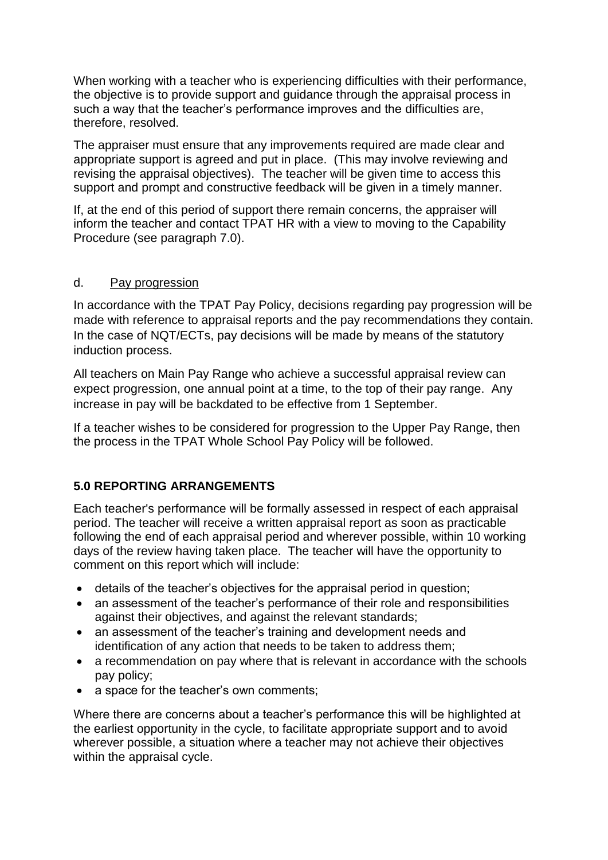When working with a teacher who is experiencing difficulties with their performance, the objective is to provide support and guidance through the appraisal process in such a way that the teacher's performance improves and the difficulties are, therefore, resolved.

The appraiser must ensure that any improvements required are made clear and appropriate support is agreed and put in place. (This may involve reviewing and revising the appraisal objectives). The teacher will be given time to access this support and prompt and constructive feedback will be given in a timely manner.

If, at the end of this period of support there remain concerns, the appraiser will inform the teacher and contact TPAT HR with a view to moving to the Capability Procedure (see paragraph 7.0).

#### d. Pay progression

In accordance with the TPAT Pay Policy, decisions regarding pay progression will be made with reference to appraisal reports and the pay recommendations they contain. In the case of NQT/ECTs, pay decisions will be made by means of the statutory induction process.

All teachers on Main Pay Range who achieve a successful appraisal review can expect progression, one annual point at a time, to the top of their pay range. Any increase in pay will be backdated to be effective from 1 September.

If a teacher wishes to be considered for progression to the Upper Pay Range, then the process in the TPAT Whole School Pay Policy will be followed.

#### **5.0 REPORTING ARRANGEMENTS**

Each teacher's performance will be formally assessed in respect of each appraisal period. The teacher will receive a written appraisal report as soon as practicable following the end of each appraisal period and wherever possible, within 10 working days of the review having taken place. The teacher will have the opportunity to comment on this report which will include:

- details of the teacher's objectives for the appraisal period in question;
- an assessment of the teacher's performance of their role and responsibilities against their objectives, and against the relevant standards;
- an assessment of the teacher's training and development needs and identification of any action that needs to be taken to address them;
- a recommendation on pay where that is relevant in accordance with the schools pay policy;
- a space for the teacher's own comments;

Where there are concerns about a teacher's performance this will be highlighted at the earliest opportunity in the cycle, to facilitate appropriate support and to avoid wherever possible, a situation where a teacher may not achieve their objectives within the appraisal cycle.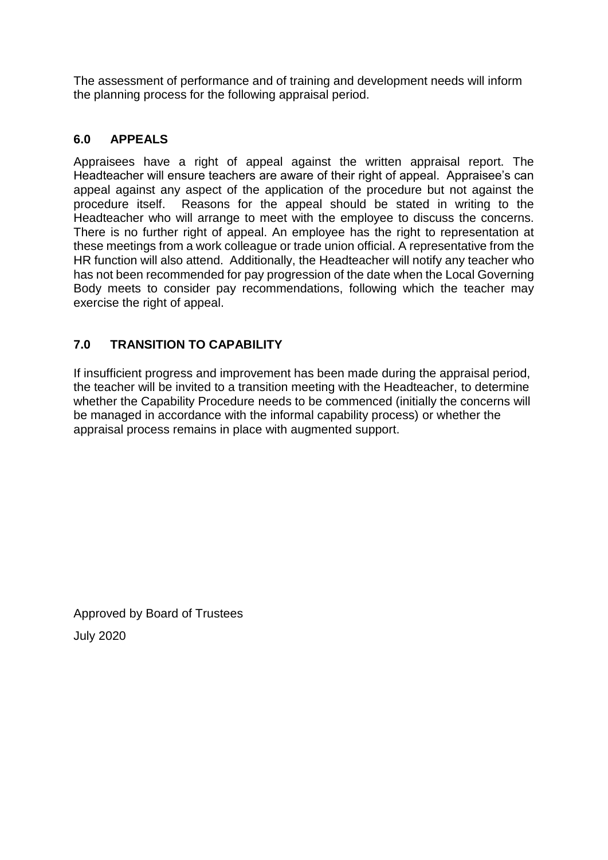The assessment of performance and of training and development needs will inform the planning process for the following appraisal period.

## **6.0 APPEALS**

Appraisees have a right of appeal against the written appraisal report. The Headteacher will ensure teachers are aware of their right of appeal. Appraisee's can appeal against any aspect of the application of the procedure but not against the procedure itself. Reasons for the appeal should be stated in writing to the Headteacher who will arrange to meet with the employee to discuss the concerns. There is no further right of appeal. An employee has the right to representation at these meetings from a work colleague or trade union official. A representative from the HR function will also attend. Additionally, the Headteacher will notify any teacher who has not been recommended for pay progression of the date when the Local Governing Body meets to consider pay recommendations, following which the teacher may exercise the right of appeal.

## **7.0 TRANSITION TO CAPABILITY**

If insufficient progress and improvement has been made during the appraisal period, the teacher will be invited to a transition meeting with the Headteacher, to determine whether the Capability Procedure needs to be commenced (initially the concerns will be managed in accordance with the informal capability process) or whether the appraisal process remains in place with augmented support.

Approved by Board of Trustees July 2020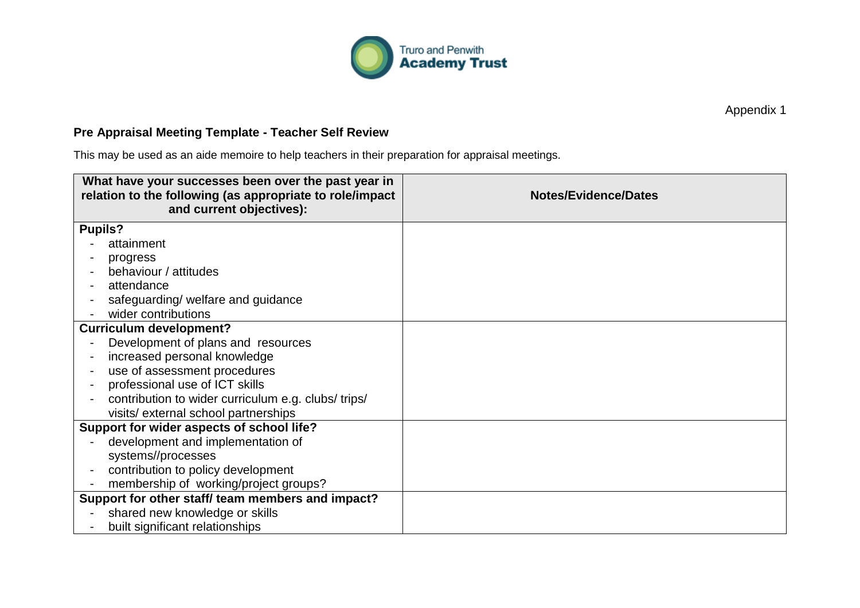

Appendix 1

## **Pre Appraisal Meeting Template - Teacher Self Review**

This may be used as an aide memoire to help teachers in their preparation for appraisal meetings.

| What have your successes been over the past year in<br>relation to the following (as appropriate to role/impact<br>and current objectives): | <b>Notes/Evidence/Dates</b> |
|---------------------------------------------------------------------------------------------------------------------------------------------|-----------------------------|
| <b>Pupils?</b>                                                                                                                              |                             |
| attainment                                                                                                                                  |                             |
| progress                                                                                                                                    |                             |
| behaviour / attitudes                                                                                                                       |                             |
| attendance                                                                                                                                  |                             |
| safeguarding/ welfare and guidance                                                                                                          |                             |
| wider contributions                                                                                                                         |                             |
| <b>Curriculum development?</b>                                                                                                              |                             |
| Development of plans and resources                                                                                                          |                             |
| increased personal knowledge                                                                                                                |                             |
| use of assessment procedures                                                                                                                |                             |
| professional use of ICT skills                                                                                                              |                             |
| contribution to wider curriculum e.g. clubs/trips/                                                                                          |                             |
| visits/external school partnerships                                                                                                         |                             |
| Support for wider aspects of school life?                                                                                                   |                             |
| development and implementation of                                                                                                           |                             |
| systems//processes                                                                                                                          |                             |
| contribution to policy development                                                                                                          |                             |
| membership of working/project groups?                                                                                                       |                             |
| Support for other staff/ team members and impact?                                                                                           |                             |
| shared new knowledge or skills                                                                                                              |                             |
| built significant relationships                                                                                                             |                             |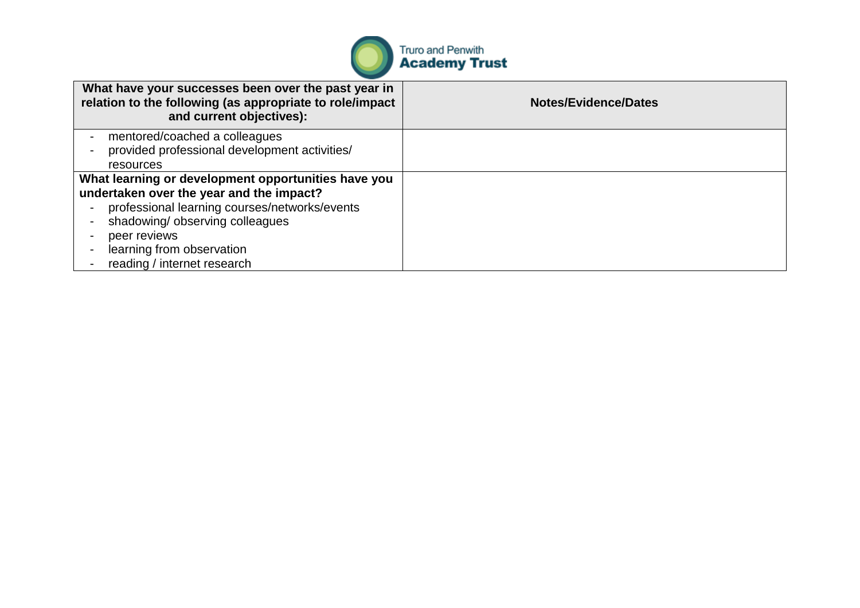

| What have your successes been over the past year in<br>relation to the following (as appropriate to role/impact<br>and current objectives): | <b>Notes/Evidence/Dates</b> |
|---------------------------------------------------------------------------------------------------------------------------------------------|-----------------------------|
| mentored/coached a colleagues                                                                                                               |                             |
| provided professional development activities/                                                                                               |                             |
| resources                                                                                                                                   |                             |
| What learning or development opportunities have you                                                                                         |                             |
| undertaken over the year and the impact?                                                                                                    |                             |
| professional learning courses/networks/events                                                                                               |                             |
| shadowing/ observing colleagues                                                                                                             |                             |
| peer reviews                                                                                                                                |                             |
| learning from observation                                                                                                                   |                             |
| reading / internet research                                                                                                                 |                             |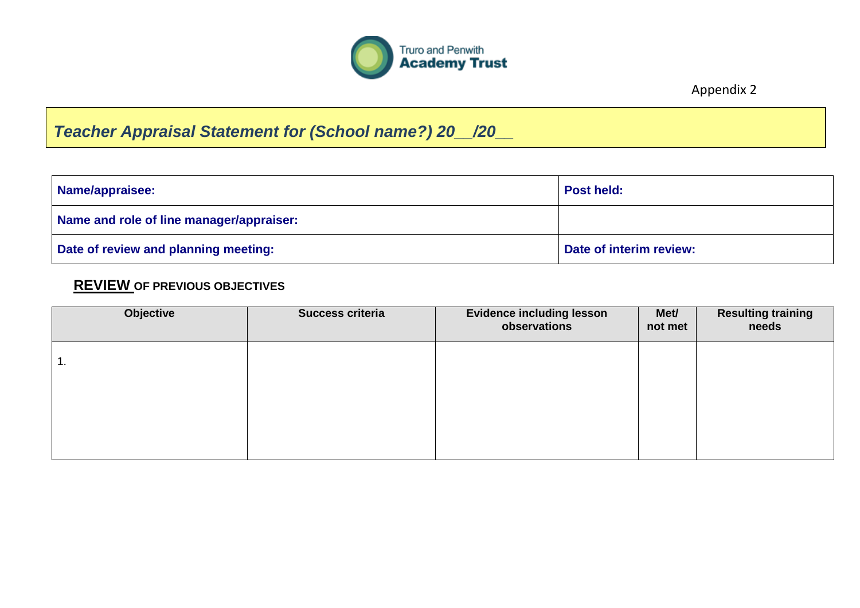

Appendix 2

## *Teacher Appraisal Statement for (School name?) 20\_\_/20\_\_*

| Name/appraisee:                          | <b>Post held:</b>       |
|------------------------------------------|-------------------------|
| Name and role of line manager/appraiser: |                         |
| Date of review and planning meeting:     | Date of interim review: |

## **REVIEW OF PREVIOUS OBJECTIVES**

| Objective | <b>Success criteria</b> | <b>Evidence including lesson</b><br>observations | Met/<br>not met | <b>Resulting training</b><br>needs |
|-----------|-------------------------|--------------------------------------------------|-----------------|------------------------------------|
| 1.        |                         |                                                  |                 |                                    |
|           |                         |                                                  |                 |                                    |
|           |                         |                                                  |                 |                                    |
|           |                         |                                                  |                 |                                    |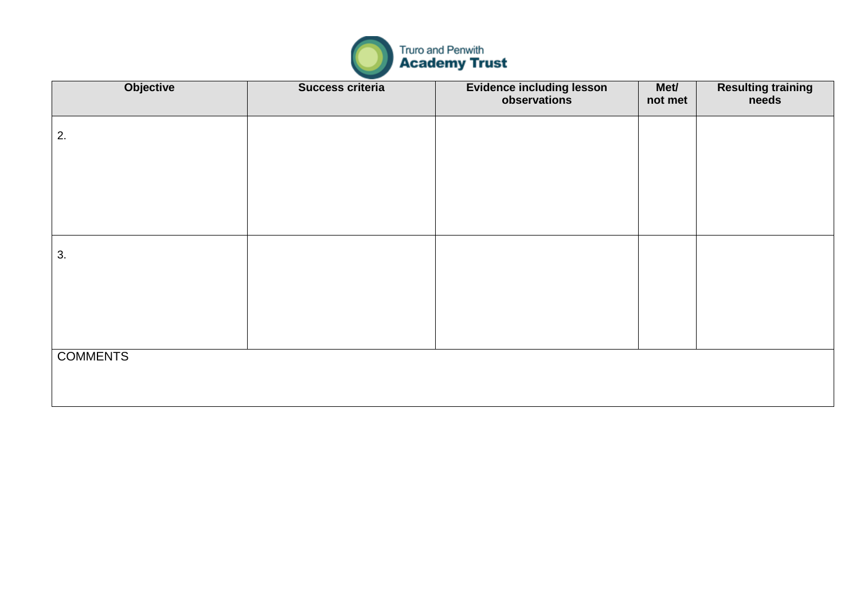

| Objective       | Success criteria | Evidence including lesson<br>observations | Met/<br>not met | <b>Resulting training</b><br>needs |
|-----------------|------------------|-------------------------------------------|-----------------|------------------------------------|
| 2.              |                  |                                           |                 |                                    |
|                 |                  |                                           |                 |                                    |
|                 |                  |                                           |                 |                                    |
| 3.              |                  |                                           |                 |                                    |
|                 |                  |                                           |                 |                                    |
|                 |                  |                                           |                 |                                    |
| <b>COMMENTS</b> |                  |                                           |                 |                                    |
|                 |                  |                                           |                 |                                    |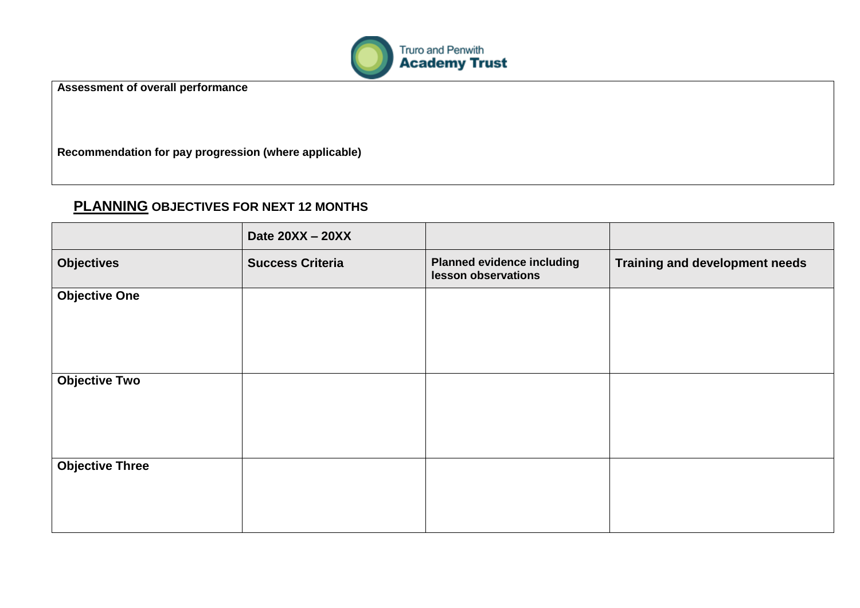

**Assessment of overall performance**

**Recommendation for pay progression (where applicable)**

## **PLANNING OBJECTIVES FOR NEXT 12 MONTHS**

|                        | Date 20XX - 20XX        |                                                          |                                       |
|------------------------|-------------------------|----------------------------------------------------------|---------------------------------------|
| <b>Objectives</b>      | <b>Success Criteria</b> | <b>Planned evidence including</b><br>lesson observations | <b>Training and development needs</b> |
| <b>Objective One</b>   |                         |                                                          |                                       |
| <b>Objective Two</b>   |                         |                                                          |                                       |
| <b>Objective Three</b> |                         |                                                          |                                       |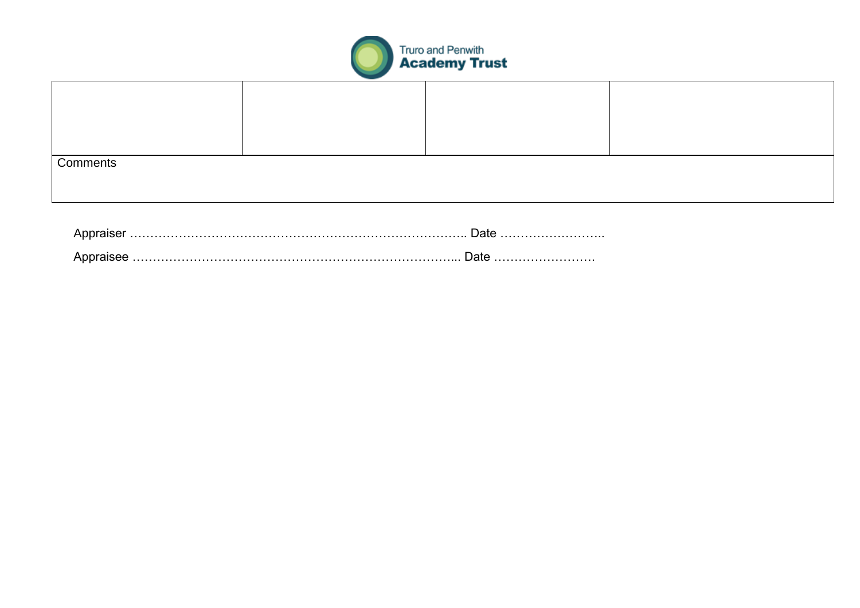

| Comments |  |  |
|----------|--|--|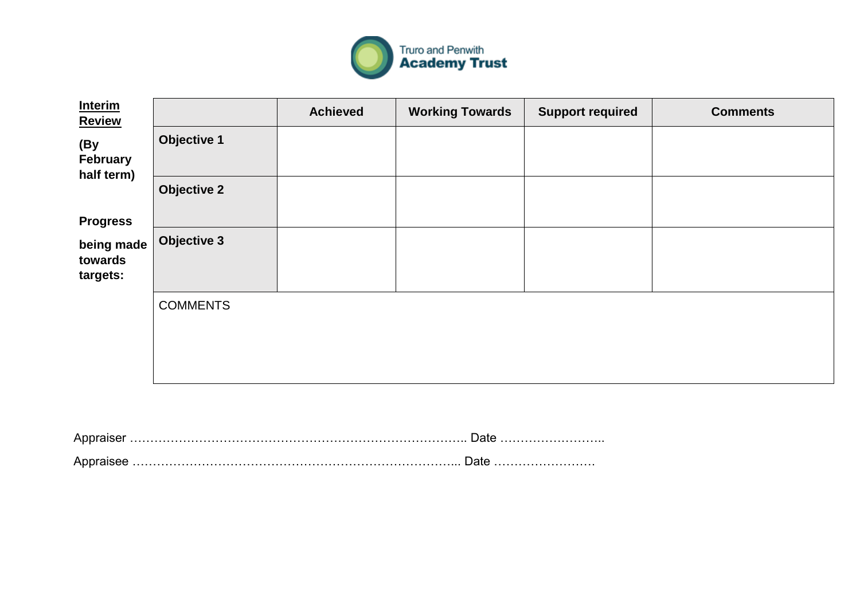

| <b>Interim</b><br><b>Review</b>   |                    | <b>Achieved</b> | <b>Working Towards</b> | <b>Support required</b> | <b>Comments</b> |
|-----------------------------------|--------------------|-----------------|------------------------|-------------------------|-----------------|
| (By<br>February<br>half term)     | <b>Objective 1</b> |                 |                        |                         |                 |
| <b>Progress</b>                   | <b>Objective 2</b> |                 |                        |                         |                 |
| being made<br>towards<br>targets: | Objective 3        |                 |                        |                         |                 |
|                                   | <b>COMMENTS</b>    |                 |                        |                         |                 |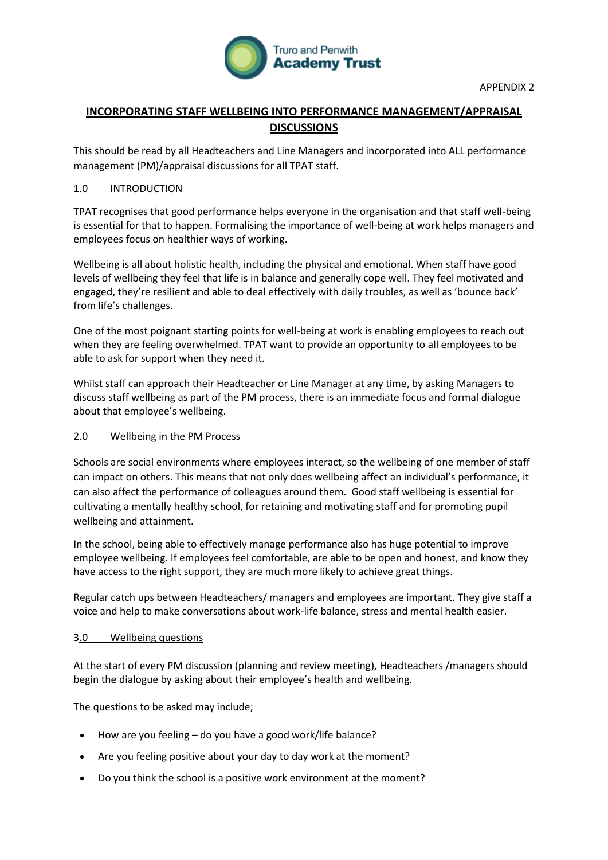

#### **INCORPORATING STAFF WELLBEING INTO PERFORMANCE MANAGEMENT/APPRAISAL DISCUSSIONS**

This should be read by all Headteachers and Line Managers and incorporated into ALL performance management (PM)/appraisal discussions for all TPAT staff.

#### 1.0 INTRODUCTION

TPAT recognises that good performance helps everyone in the organisation and that staff well-being is essential for that to happen. Formalising the importance of well-being at work helps managers and employees focus on healthier ways of working.

Wellbeing is all about holistic health, including the physical and emotional. When staff have good levels of wellbeing they feel that life is in balance and generally cope well. They feel motivated and engaged, they're resilient and able to deal effectively with daily troubles, as well as 'bounce back' from life's challenges.

One of the most poignant starting points for well-being at work is enabling employees to reach out when they are feeling overwhelmed. TPAT want to provide an opportunity to all employees to be able to ask for support when they need it.

Whilst staff can approach their Headteacher or Line Manager at any time, by asking Managers to discuss staff wellbeing as part of the PM process, there is an immediate focus and formal dialogue about that employee's wellbeing.

#### 2.0 Wellbeing in the PM Process

Schools are social environments where employees interact, so the wellbeing of one member of staff can impact on others. This means that not only does wellbeing affect an individual's performance, it can also affect the performance of colleagues around them. Good staff wellbeing is essential for cultivating a mentally healthy school, for retaining and motivating staff and for promoting pupil wellbeing and attainment.

In the school, being able to effectively manage performance also has huge potential to improve employee wellbeing. If employees feel comfortable, are able to be open and honest, and know they have access to the right support, they are much more likely to achieve great things.

Regular catch ups between Headteachers/ managers and employees are important. They give staff a voice and help to make conversations about work-life balance, stress and mental health easier.

#### 3.0 Wellbeing questions

At the start of every PM discussion (planning and review meeting), Headteachers /managers should begin the dialogue by asking about their employee's health and wellbeing.

The questions to be asked may include;

- How are you feeling do you have a good work/life balance?
- Are you feeling positive about your day to day work at the moment?
- Do you think the school is a positive work environment at the moment?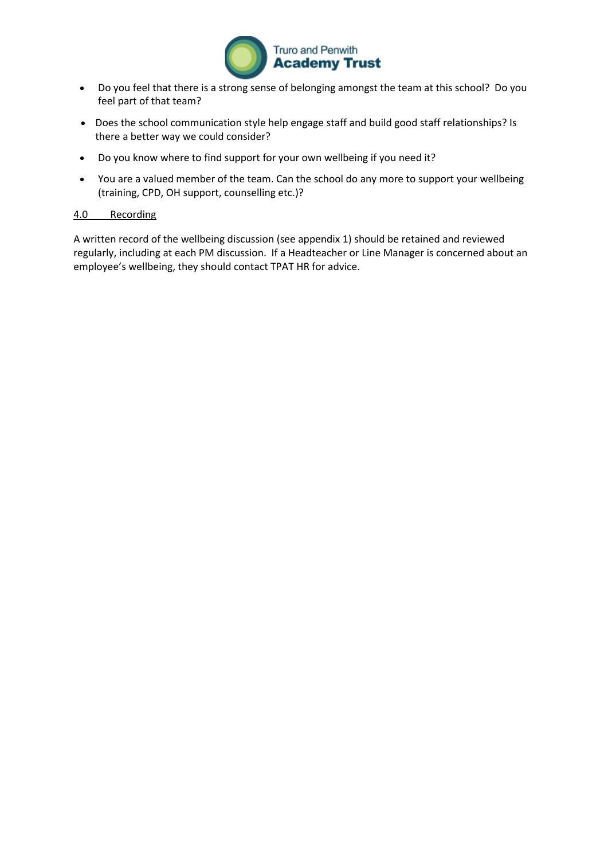

- Do you feel that there is a strong sense of belonging amongst the team at this school? Do you feel part of that team?
- Does the school communication style help engage staff and build good staff relationships? Is there a better way we could consider?
- Do you know where to find support for your own wellbeing if you need it?
- You are a valued member of the team. Can the school do any more to support your wellbeing (training, CPD, OH support, counselling etc.)?

#### 4.0 Recording

A written record of the wellbeing discussion (see appendix 1) should be retained and reviewed regularly, including at each PM discussion. If a Headteacher or Line Manager is concerned about an employee's wellbeing, they should contact TPAT HR for advice.